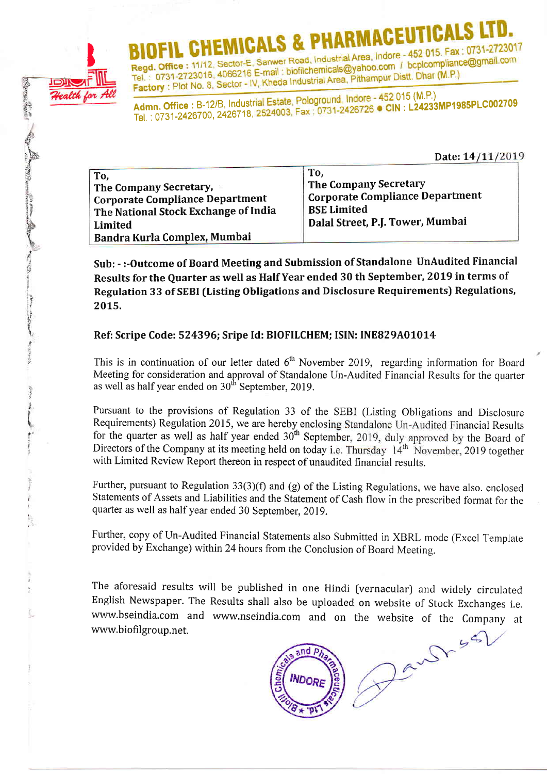

**Concert Children** 

BIOFIL CHEMICALS & FIARMIAU - 452 015. Fax : 0731-2723017<br>Regd. Office : 11/12, Sector-E, Sanwer Road, Industrial Area, Indore - 452 015. Fax : 0731-2723017 Regd. Office : 11/12, Sector-E, Sanwer Road, Industrial Area, Indore - 452 015. Fax: 0731-2723016, 4066216 E-mail : biofilchemicals@yahoo.com / bcplcompliance@gmail.com<br>Tel. : 0731-2723016, 4066216 E-mail : biofilchemicals

Admn. Office : B-12/B, Industrial Estate, Pologround, Indore - 452 015 (M.P.)<br>Admn. Office : B-12/B, Industrial Estate, Pologround, Indore - 452 015 (M.P.) Tel. : 0731 -2 4267 OO, 24267 18'

Date: 14/11/2019

| To.<br>The Company Secretary,<br><b>Corporate Compliance Department</b><br>The National Stock Exchange of India<br>Limited<br>Bandra Kurla Complex, Mumbai | To.<br>The Company Secretary<br>Corporate Compliance Department<br><b>BSE Limited</b><br>Dalal Street, P.J. Tower, Mumbai |
|------------------------------------------------------------------------------------------------------------------------------------------------------------|---------------------------------------------------------------------------------------------------------------------------|
|------------------------------------------------------------------------------------------------------------------------------------------------------------|---------------------------------------------------------------------------------------------------------------------------|

Sub: - :-Outcome of Board Meeting and Submission of Standalone UnAudited Financial Results for the Quarter as well as Half Year ended 30 th September, 2019 in terms of Regulation 33 of SEBI (Listing Obligations and Disclosure Requirements) Regulations, 20L5.

### Ref: Scripe Code: 524396; Sripe Id: BIOFILCHEM; ISIN: INE829A01014

This is in continuation of our letter dated  $6<sup>th</sup>$  November 2019, regarding information for Board Meeting for consideration and approval of Standalone Un-Audited Financial Results for the quarter as well as half year ended on  $30<sup>th</sup>$  September, 2019.

Pursuant to the provisions of Regulation 33 of the SEBI (Listing Obligations and Disclosure Requirements) Regulation 2015, we are hereby enclosing Standalone Un-Audited Financial Results for the quarter as well as half year ended  $30<sup>th</sup>$  September, 2019, duly approved by the Board of Directors of the Company at its meeting held on today i.e. Thursday  $14<sup>th</sup>$  November, 2019 together with Limited Review Report thereon in respect of unaudited financial results.

Further, pursuant to Regulation 33(3)(f) and (g) of the Listing Regulations, we have also. enclosed Statements of Assets and Liabilities and the Statement of Cash flow in the prescribed format for the quarter as well as half year ended 30 September, 2019.

Further, copy of Un-Audited Financial Statements also Submitted in XBRL mode (Excel Template provided by Exchange) within 24 hours from the Conclusion of Board Meetins.

The aforesaid results will be published in one Hindi (vernacular) and widely circulated English Newspaper. The Results shall also be uploaded on website of Stock Exchanges i.e. www.bseindia.com and www.nseindia.com and on the website of the Company at www.biofilgroup.net.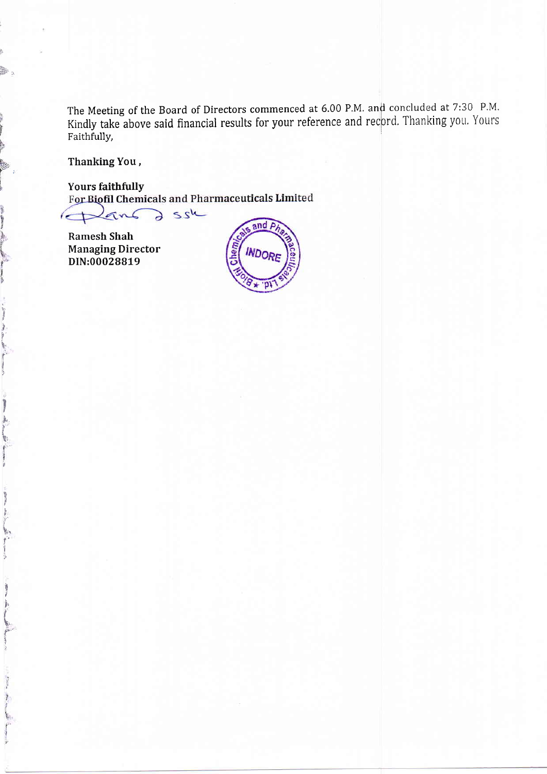The Meeting of the Board of Directors commenced at 6.00 P.M. and concluded at 7:30 P.M. Kindly take above said financial results for your reference and record. Thanking you. Yours Faithfully,

Thanking You,

ļ.

**CITY SHOW:** 

Mary 1381 and

states which

訓

and the most of

**Yours faithfully** For Biofil Chemicals and Pharmaceuticals Limited

a ssk Land

**Ramesh Shah Managing Director** DIN:00028819

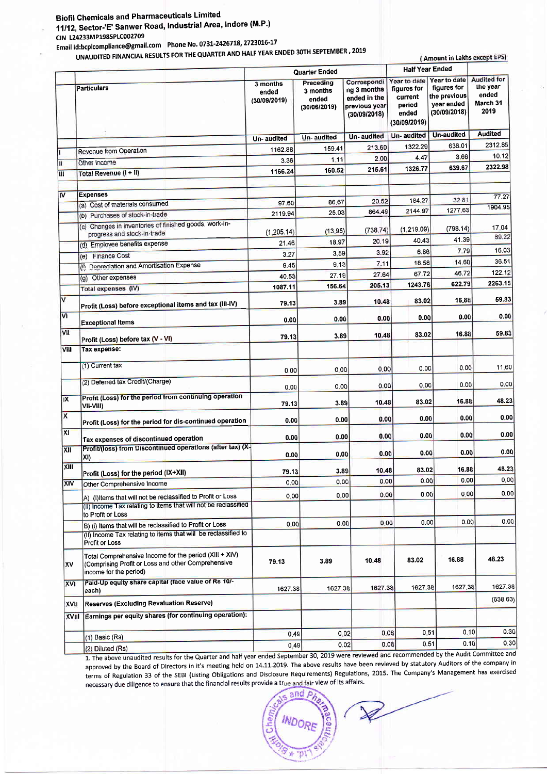## **Biofil Chemicals and Pharmaceuticals Limited**

11/12, Sector-'E' Sanwer Road, Industrial Area, Indore (M.P.) CIN L24233MP1985PLC002709

Email Id:bcplcompliance@gmail.com Phone No. 0731-2426718, 2723016-17

UNAUDITED FINANCIAL RESULTS FOR THE QUARTER AND HALF YEAR ENDED 30TH SEPTEMBER, 2019

|                         | UNAUDITED FINANCIAL RESULTS FOR THE QUARTER AND HALF YEAR ENDED SUIT SET IERROCH, 2015                                                               |                                   |                                                |                                                                             |                                                                           | (Amount in Lakhs except EPS)                                              |                                                             |
|-------------------------|------------------------------------------------------------------------------------------------------------------------------------------------------|-----------------------------------|------------------------------------------------|-----------------------------------------------------------------------------|---------------------------------------------------------------------------|---------------------------------------------------------------------------|-------------------------------------------------------------|
|                         |                                                                                                                                                      |                                   | Quarter Ended                                  |                                                                             | <b>Half Year Ended</b>                                                    |                                                                           |                                                             |
|                         | <b>Particulars</b>                                                                                                                                   | 3 months<br>ended<br>(30/09/2019) | Preceding<br>3 months<br>ended<br>(30/06/2019) | Correspondi<br>ng 3 months<br>ended in the<br>previous year<br>(30/09/2018) | Year to date<br>figures for<br>current<br>period<br>ended<br>(30/09/2019) | Year to date<br>figures for<br>the previous<br>vear ended<br>(30/09/2018) | <b>Audited for</b><br>the year<br>ended<br>March 31<br>2019 |
|                         |                                                                                                                                                      | Un-audited                        | Un-audited                                     | Un-audited                                                                  | Un-audited                                                                | <b>Un-audited</b>                                                         | <b>Audited</b>                                              |
|                         | Revenue from Operation                                                                                                                               | 1162.88                           | 159.41                                         | 213.60                                                                      | 1322.29                                                                   | 636.01                                                                    | 2312.85                                                     |
| H                       | Other Income                                                                                                                                         | 3.36                              | 1:11                                           | 2.00                                                                        | 4.47                                                                      | 3.66                                                                      | 10.12                                                       |
| ш                       | Total Revenue (I + II)                                                                                                                               | 1166.24                           | 160.52                                         | 215.61                                                                      | 1326.77                                                                   | 639.67                                                                    | 2322.98                                                     |
| M                       | <b>Expenses</b>                                                                                                                                      |                                   |                                                |                                                                             |                                                                           |                                                                           | 77.27                                                       |
|                         | (a) Cost of materials consumed                                                                                                                       | 97.60                             | 86.67                                          | 20.52                                                                       | 184.27                                                                    | 32.81                                                                     | 1904.95                                                     |
|                         | (b) Purchases of stock-in-trade                                                                                                                      | 2119.94                           | 25.03                                          | 864.49                                                                      | 2144.97                                                                   | 1277.63                                                                   |                                                             |
|                         | (c) Changes in inventories of finished goods, work-in-<br>progress and stock-in-trade                                                                | (1, 205.14)                       | (13.95)                                        | (738.74)                                                                    | (1,219.09)                                                                | (798.14)                                                                  | 17.04<br>89.22                                              |
|                         | (d) Employee benefits expense                                                                                                                        | 21.46                             | 18.97                                          | 20.19                                                                       | 40.43                                                                     | 41.39                                                                     |                                                             |
|                         | (e) Finance Cost                                                                                                                                     | 3.27                              | 3.59                                           | 3.92                                                                        | 6.86                                                                      | 7.79                                                                      | 16.03                                                       |
|                         | (f) Depreciation and Amortisation Expense                                                                                                            | 9.45                              | 9.13                                           | 7.11                                                                        | 18.58                                                                     | 14.60                                                                     | 36.51                                                       |
|                         | (g) Other expenses                                                                                                                                   | 40.53                             | 27.19                                          | 27.64                                                                       | 67.72                                                                     | 46.72                                                                     | 122.12                                                      |
|                         | <b>Total expenses (IV)</b>                                                                                                                           | 1087.11                           | 156.64                                         | 205.13                                                                      | 1243.75                                                                   | 622.79                                                                    | 2263.15                                                     |
| V                       | Profit (Loss) before exceptional items and tax (III-IV)                                                                                              | 79.13                             | 3.89                                           | 10.48                                                                       | 83.02                                                                     | 16.88                                                                     | 59.83                                                       |
| M                       | <b>Exceptional Items</b>                                                                                                                             | 0.00                              | 0.00                                           | 0.00                                                                        | 0.00                                                                      | 0.00                                                                      | 0.00                                                        |
| <b>VII</b>              | Profit (Loss) before tax (V - VI)                                                                                                                    | 79.13                             | 3.89                                           | 10.48                                                                       | 83.02                                                                     | 16.88                                                                     | 59.83                                                       |
| VIII                    | Tax expense:                                                                                                                                         |                                   |                                                |                                                                             |                                                                           |                                                                           |                                                             |
|                         | (1) Current tax                                                                                                                                      | 0.00                              | 0.00                                           | 0.00                                                                        | 0.00                                                                      | 0.00                                                                      | 11.60                                                       |
|                         | (2) Deferred tax Credit/(Charge)                                                                                                                     | 0.00                              | 0.00                                           | 0.00                                                                        | 0.00                                                                      | 0.00                                                                      | 0.00                                                        |
| IX                      | Profit (Loss) for the period from continuing operation<br>VII-VIII)                                                                                  | 79.13                             | 3.89                                           | 10.48                                                                       | 83.02                                                                     | 16.88                                                                     | 48.23                                                       |
| $\overline{\mathsf{x}}$ | Profit (Loss) for the period for dis-continued operation                                                                                             | 0.00                              | 0.00                                           | 0.00                                                                        | 0.00                                                                      | 0.00                                                                      | 0.00                                                        |
| X1                      | Tax expenses of discontinued operation                                                                                                               | 0.00                              | 0.00                                           | 0.00                                                                        | 0.00                                                                      | 0.00                                                                      | 0.00                                                        |
| XII                     | Profit/(loss) from Discontinued operations (after tax) (X-<br>XI)                                                                                    | 0.00                              | 0.00                                           | 0.00                                                                        | 0.00                                                                      | 0.00                                                                      | 0.00                                                        |
| XIII                    | Profit (Loss) for the period (IX+XII)                                                                                                                | 79.13                             | 3.89                                           | 10.48                                                                       | 83.02                                                                     | 16.88                                                                     | 48.23                                                       |
| XIV                     | Other Comprehensive Income                                                                                                                           | 0.00                              | 0.00                                           | 0.00                                                                        | 0.00                                                                      | 0.00                                                                      | 0.00                                                        |
|                         | A) (I) Items that will not be reclassified to Profit or Loss<br>(II) Income Tax relating to items that will not be reclassified<br>to Profit or Loss | 0.00                              | 0.00                                           | 0.00                                                                        | 0.00                                                                      | 0.00                                                                      | 0.00                                                        |
|                         | B) (i) Items that will be reclassified to Profit or Loss<br>(II) Income Tax relating to items that will be reclassified to                           | 0.00                              | 0.00                                           | 0.00                                                                        | 0.00                                                                      | 0.00                                                                      | 0.00                                                        |
|                         | Profit or Loss                                                                                                                                       |                                   |                                                |                                                                             |                                                                           |                                                                           |                                                             |
| χv                      | Total Comprehensive Income for the period (XIII + XIV)<br>(Comprising Profit or Loss and other Comprehensive<br>income for the period)               | 79.13                             | 3.89                                           | 10.48                                                                       | 83.02                                                                     | 16.88                                                                     | 48.23                                                       |
| <b>XVI</b>              | Paid-Up equity share capital (face value of Rs 10/-<br>each)                                                                                         | 1627.38                           | 1627.38                                        | 1627.38                                                                     | 1627.38                                                                   | 1627,38                                                                   | 1627.38                                                     |
| XVII                    | Reserves (Excluding Revaluation Reserve)                                                                                                             |                                   |                                                |                                                                             |                                                                           |                                                                           | (638.63)                                                    |
| <b>XVIII</b>            | Earnings per equity shares (for continuing operation):                                                                                               |                                   |                                                |                                                                             |                                                                           |                                                                           |                                                             |
|                         | (1) Basic (Rs)                                                                                                                                       | 0.49                              |                                                | 0.06<br>0.02                                                                | 0.51                                                                      | 0.10                                                                      | 0.30                                                        |
|                         | $(2)$ Diluted $(Rs)$ .                                                                                                                               | 0.49                              |                                                | 0.06<br>0.02                                                                |                                                                           | 0.10<br>0.51                                                              | 0.30                                                        |

(2) Diluted (Rs) 1. The above unaudited results for the Quarter and half year ended September 30, 2019 were reviewed and recommended by the Audit Committee and approved by the Board of Directors in it's meeting held on 14.11.2019. The above results have been revieved by statutory Auditors of the company in terms of Regulation 33 of the SEBI (Listing Obligations and Disclosure Requirements) Regulations, 2015. The Company's Management has exercised necessary due diligence to ensure that the financial results provide a true and fair view of its affairs.

and  $\rho$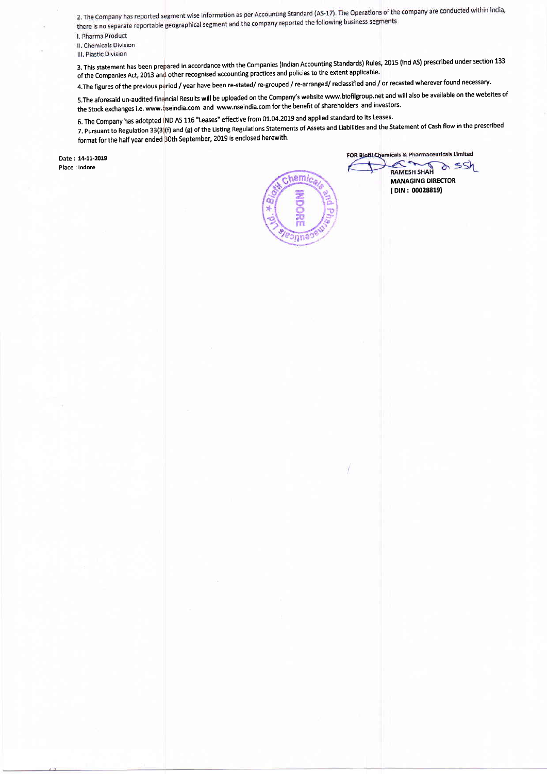2. The Company has reported segment wise information as per Accounting Standard (AS-17). The Operations of the company are conducted within India, 2. The Company has reported segment wise information as per Accounting Standard (A3-17). The operations of the<br>there is no separate reportable geographical segment and the company reported the following business segments

I. Pharma Product

II. Chemicals Division

III. Plastic Division

3. This statement has been prepared in accordance with the companies (lndian Accounting Standards) Rules, 2015 (lnd AS) prescribed under section <sup>133</sup> of the Companies Act, 2013 an{ other recognised accounting practices and policies to the extent applicable'

4.The figures of the previous period / year have been re-stated/ re-grouped / re-arranged/ reclassified and / or recasted wherever found necessary.

s.The aforesaid un-audited financial Results will be uploaded on the company's website www.biofilgroup.net and will also be available on the websites of the Stock exchanges i.e. www.qseindia.com and www.nseindia.com for the benefit of shareholders and investors'

6. The Company has adotpted IND AS 116 "Leases" effective from 01.04.2019 and applied standard to its Leases'

7. Pursuant to Regulation 33(3)(f) and (g) of the Listing Regulations Statements of Assets and Liabilities and the Statement of Cash flow in the prescribed format for the half year ended  $30$ th September, 2019 is enclosed herewith.

Date: 14-11-2019 Place : Indore



FOR Biofil Chemicals & Pharmaceuticals Limited

 $\pi$ a ssh RAMESH SHAH MANAGING DIRECTOR ( DIN: 000288191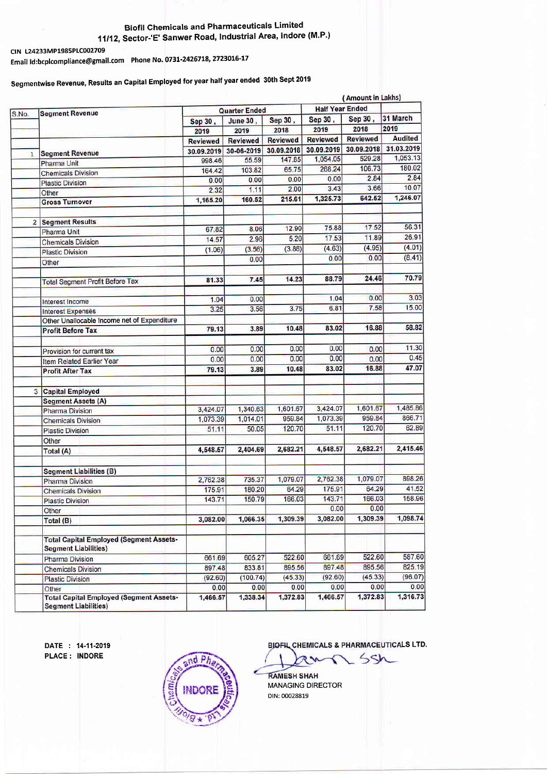#### Biofil Chennicals and Pharmaceuticals Limited 11/12, Sector-'E' Sanwer Road, Industrial Area, Indore (M.P.)

CIN L24233MP1985PLC002709 Emaif f d:bcplcompliance@gmail.com Phone No' O73t-24267L8' 2723oL6-17

# Segmentwise Revenue, Results an capital Employed for year half year ended 30th sept <sup>2019</sup>

|              |                                                                               |                      |                  |                 | (Amount in Lakhs)      |                 |                |  |
|--------------|-------------------------------------------------------------------------------|----------------------|------------------|-----------------|------------------------|-----------------|----------------|--|
|              | <b>Segment Revenue</b>                                                        | <b>Quarter Ended</b> |                  |                 | <b>Half Year Ended</b> |                 |                |  |
| S.No.        |                                                                               | Sep 30,              | June 30,         | Sep 30,         | Sep 30,                | Sep 30,         | 31 March       |  |
|              |                                                                               | 2019                 | 2019             | 2018            | 2019                   | 2018            | 2019           |  |
|              |                                                                               | <b>Reviewed</b>      | <b>Reviewed</b>  | <b>Reviewed</b> | <b>Reviewed</b>        | <b>Reviewed</b> | <b>Audited</b> |  |
|              | <b>Segment Revenue</b>                                                        | 30.09.2019           | 30-06-2019       | 30.09.2018      | 30.09.2019             | 30.09.2018      | 31.03.2019     |  |
| $\mathbf{1}$ | Pharma Unit                                                                   | 998.46               | 55.59            | 147.85          | 1,054.05               | 529.28          | 1,053.13       |  |
|              | <b>Chemicals Division</b>                                                     | 164.42               | 103.82           | 65.75           | 268.24                 | 106.73          | 180.02         |  |
|              |                                                                               | 0.00                 | 0.00             | 0.00            | 0.00                   | 2.84            | 2.84           |  |
|              | <b>Plastic Division</b>                                                       | 2.32                 | 1.11             | 2.00            | 3.43                   | 3.66            | 10.07          |  |
|              | Other<br><b>Gross Turnover</b>                                                | 1,165.20             | 160.52           | 215.61          | 1,325.73               | 642.52          | 1,246.07       |  |
|              |                                                                               |                      |                  |                 |                        |                 |                |  |
|              | 2 Segment Results                                                             |                      |                  |                 |                        |                 |                |  |
|              | <b>Pharma Unit</b>                                                            | 67.82                | 8.06             | 12.90           | 75.88                  | 17.52           | 56.31          |  |
|              | <b>Chemicals Division</b>                                                     | 14.57                | 2.96             | 5.20            | 17.53                  | 11.89           | 26.91          |  |
|              |                                                                               | (1.06)               | (3.56)           | (3.88)          | (4.63)                 | (4.95)          | (4.01)         |  |
|              | <b>Plastic Division</b>                                                       |                      | 0.00             |                 | 0.00                   | 0.00            | (8.41)         |  |
|              | Other                                                                         |                      |                  |                 |                        |                 |                |  |
|              |                                                                               | 81.33                | 7.45             | 14.23           | 88.79                  | 24.46           | 70.79          |  |
|              | <b>Total Segment Profit Before Tax</b>                                        |                      |                  |                 |                        |                 |                |  |
|              |                                                                               | 1.04                 | 0.00             |                 | 1.04                   | 0.00            | 3.03           |  |
|              | Interest Income                                                               | 3.25                 | 3.56             | 3.75            | 6.81                   | 7.58            | 15.00          |  |
|              | Interest Expenses                                                             |                      |                  |                 |                        |                 |                |  |
|              | Other Unallocable Income net of Expenditure                                   | 79.13                | 3.89             | 10.48           | 83.02                  | 16.88           | 58.82          |  |
|              | <b>Profit Before Tax</b>                                                      |                      |                  |                 |                        |                 |                |  |
|              |                                                                               | 0.00                 | 0.00             | 0.00            | 0.00                   | 0.00            | 11.30          |  |
|              | Provision for current tax                                                     | 0.00                 | 0.00             | 0.00            | 0.00                   | 0.00            | 0.45           |  |
|              | Item Related Earlier Year                                                     |                      |                  | 10.48           | 83.02                  | 16.88           | 47.07          |  |
|              | <b>Profit After Tax</b>                                                       | 79.13                | 3.89             |                 |                        |                 |                |  |
|              |                                                                               |                      |                  |                 |                        |                 |                |  |
| 3            | <b>Capital Employed</b>                                                       |                      |                  |                 |                        |                 |                |  |
|              | <b>Segment Assets (A)</b>                                                     | 3,424.07             | 1,340.63         | 1,601.67        | 3,424.07               | 1,601.67        | 1,485.86       |  |
|              | <b>Pharma Division</b>                                                        | 1,073.39             | 1,014.01         | 959.84          | 1,073.39               | 959.84          | 866.71         |  |
|              | <b>Chemicals Division</b>                                                     | 51.11                | 50.05            | 120.70          | 51.11                  | 120.70          | 62.89          |  |
|              | <b>Plastic Division</b>                                                       |                      |                  |                 |                        |                 |                |  |
|              | Other                                                                         | 4,548.57             | 2,404.69         | 2,682.21        | 4,548.57               | 2,682.21        | 2,415.46       |  |
|              | Total (A)                                                                     |                      |                  |                 |                        |                 |                |  |
|              |                                                                               |                      |                  |                 |                        |                 |                |  |
|              | <b>Segment Liabilities (B)</b>                                                |                      | 735.37           | 1,079.07        | 2,762.38               | 1,079.07        | 898.26         |  |
|              | <b>Pharma Division</b>                                                        | 2,762.38             |                  | 64.29           | 175.91                 | 64.29           | 41.52          |  |
|              | <b>Chemicals Division</b>                                                     | 175.91<br>143.71     | 180.20<br>150.79 | 166.03          | 143.71                 | 166.03          | 158.96         |  |
|              | <b>Plastic Division</b>                                                       |                      |                  |                 | 0.00                   | 0.00            |                |  |
|              | Other                                                                         |                      |                  | 1,309.39        | 3,082.00               | 1,309.39        | 1,098.74       |  |
|              | Total (B)                                                                     | 3,082.00             | 1,066.35         |                 |                        |                 |                |  |
|              | <b>Total Capital Employed (Segment Assets-</b>                                |                      |                  |                 |                        |                 |                |  |
|              | <b>Segment Liabilities)</b>                                                   |                      |                  |                 |                        |                 |                |  |
|              | Pharma Division                                                               | 661.69               | 605.27           | 522.60          | 661.69                 | 522.60          | 587.60         |  |
|              | <b>Chemicals Division</b>                                                     | 897.48               | 833.81           | 895.56          | 897.48                 | 895.56          | 825.19         |  |
|              | <b>Plastic Division</b>                                                       | (92.60)              | (100.74)         | (45.33)         | (92.60)                | (45.33)         | (96.07)        |  |
|              | Other                                                                         | 0.00                 | 0.00             | 0.00            | 0.00                   | 0.00            | 0.00           |  |
|              | <b>Total Capital Employed (Segment Assets-</b><br><b>Segment Liabilities)</b> | 1,466.57             | 1,338.34         | 1,372.83        | 1,466.57               | 1,372.83        | 1,316.73       |  |

DATE : 14-11-2019 PLACE : INDORE



BIOFIL CHEMICALS & PHARMACEUTICALS LTD.

 $55h$ 

**RAMESH SHAH** MANAGING DIRECTOR DIN:00028819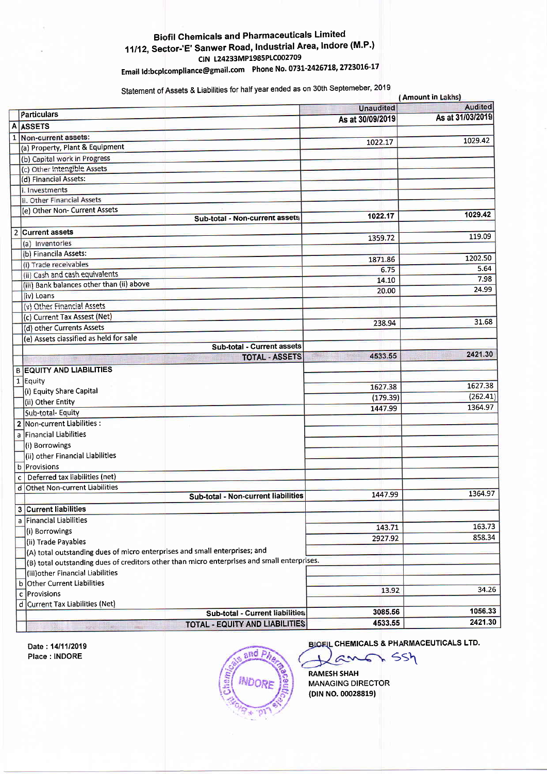#### **Biofil Chemicals and Pharmaceuticals Limited** 11/12, Sector-'E' Sanwer Road, Industrial Area, Indore (M.P.) CIN L24233MP1985PLC002709 Email Id:bcplcompliance@gmail.com Phone No. 0731-2426718, 2723016-17

Statement of Assets & Liabilities for half year ended as on 30th Septemeber, 2019

|              | (Amount in Lakhs)                                                                           |                  |                  |  |  |  |
|--------------|---------------------------------------------------------------------------------------------|------------------|------------------|--|--|--|
|              |                                                                                             | <b>Unaudited</b> | <b>Audited</b>   |  |  |  |
|              | Particulars                                                                                 | As at 30/09/2019 | As at 31/03/2019 |  |  |  |
| A            | <b>ASSETS</b>                                                                               |                  |                  |  |  |  |
| $\mathbf{1}$ | Non-current assets:                                                                         | 1022.17          | 1029.42          |  |  |  |
|              | (a) Property, Plant & Equipment                                                             |                  |                  |  |  |  |
|              | (b) Capital work in Progress                                                                |                  |                  |  |  |  |
|              | (c) Other Intengible Assets                                                                 |                  |                  |  |  |  |
|              | (d) Financial Assets:                                                                       |                  |                  |  |  |  |
|              | i. Investments                                                                              |                  |                  |  |  |  |
|              | ii. Other Financial Assets                                                                  |                  |                  |  |  |  |
|              | (e) Other Non- Current Assets                                                               | 1022.17          | 1029.42          |  |  |  |
|              | Sub-total - Non-current assets                                                              |                  |                  |  |  |  |
|              | 2 Current assets                                                                            | 1359.72          | 119.09           |  |  |  |
|              | (a) Inventories                                                                             |                  |                  |  |  |  |
|              | (b) Financila Assets:                                                                       | 1871.86          | 1202.50          |  |  |  |
|              | (i) Trade receivables                                                                       | 6.75             | 5.64             |  |  |  |
|              | (ii) Cash and cash equivalents                                                              |                  | 7.98             |  |  |  |
|              | (iii) Bank balances other than (ii) above                                                   | 14.10            | 24.99            |  |  |  |
|              | (iv) Loans                                                                                  | 20.00            |                  |  |  |  |
|              | (v) Other Financial Assets                                                                  |                  |                  |  |  |  |
|              | (c) Current Tax Assest (Net)                                                                |                  |                  |  |  |  |
|              | (d) other Currents Assets                                                                   | 238.94           | 31.68            |  |  |  |
|              | (e) Assets classified as held for sale                                                      |                  |                  |  |  |  |
|              | Sub-total - Current assets                                                                  |                  |                  |  |  |  |
|              | <b>TOTAL - ASSETS</b>                                                                       | 4533.55          | 2421.30          |  |  |  |
|              | <b>B EQUITY AND LIABILITIES</b>                                                             |                  |                  |  |  |  |
|              | 1 Equity                                                                                    |                  |                  |  |  |  |
|              | (i) Equity Share Capital                                                                    | 1627.38          | 1627.38          |  |  |  |
|              | (ii) Other Entity                                                                           | (179.39)         | (262.41)         |  |  |  |
|              | Sub-total- Equity                                                                           | 1447.99          | 1364.97          |  |  |  |
|              | 2 Non-current Liabilities :                                                                 |                  |                  |  |  |  |
|              | a Financial Liabilities                                                                     |                  |                  |  |  |  |
|              | (i) Borrowings                                                                              |                  |                  |  |  |  |
|              | (ii) other Financial Liabilities                                                            |                  |                  |  |  |  |
|              | b Provisions                                                                                |                  |                  |  |  |  |
|              | Deferred tax liabilities (net)                                                              |                  |                  |  |  |  |
|              | $\mathbf{C}$<br>d Othet Non-current Liabilities                                             |                  |                  |  |  |  |
|              | Sub-total - Non-current liabilities                                                         | 1447.99          | 1364.97          |  |  |  |
|              |                                                                                             |                  |                  |  |  |  |
|              | 3 Current liabilities                                                                       |                  |                  |  |  |  |
|              | a Financial Liabilities                                                                     | 143.71           | 163.73           |  |  |  |
|              | (i) Borrowings                                                                              | 2927.92          | 858.34           |  |  |  |
|              | (ii) Trade Payables                                                                         |                  |                  |  |  |  |
|              | (A) total outstanding dues of micro enterprises and small enterprises; and                  |                  |                  |  |  |  |
|              | (B) total outstanding dues of creditors other than micro enterprises and small enterprises. |                  |                  |  |  |  |
|              | (iii) other Financial Liabilities                                                           |                  |                  |  |  |  |
|              | b Other Current Liabilities                                                                 | 13.92            | 34.26            |  |  |  |
|              | Provisions<br>c                                                                             |                  |                  |  |  |  |
|              | d Current Tax Liabilities (Net)                                                             | 3085.56          | 1056.33          |  |  |  |
|              | Sub-total - Current liabilities                                                             |                  | 2421.30          |  |  |  |
|              | <b>TOTAL - EQUITY AND LIABILITIES</b>                                                       | 4533.55          |                  |  |  |  |

Date: 14/11/2019 Place : INDORE



**BIOFIL CHEMICALS & PHARMACEUTICALS LTD.** 

SSh

**RAMESH SHAH MANAGING DIRECTOR** (DIN NO. 00028819)

C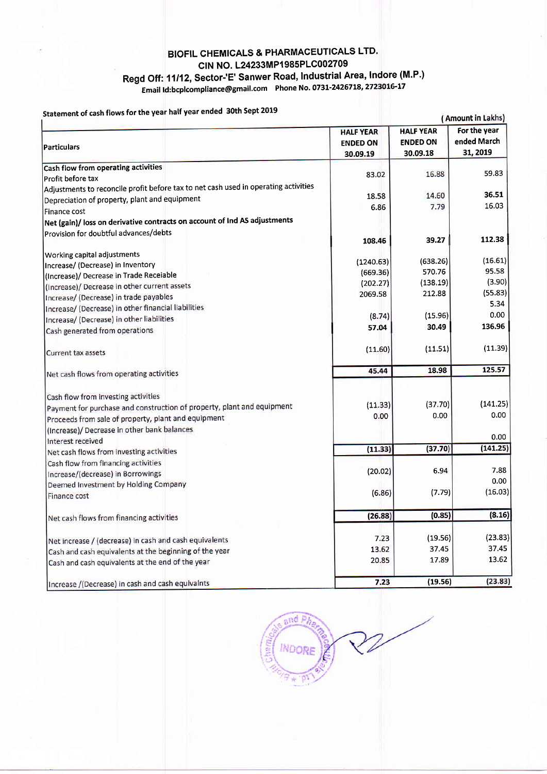### **BIOFIL CHEMICALS & PHARMACEUTICALS LTD.** CIN NO. L24233MP1985PLC002709 Regd Off: 11/12, Sector-'E' Sanwer Road, Industrial Area, Indore (M.P.) Email Id:bcplcompliance@gmail.com Phone No. 0731-2426718, 2723016-17

#### nent of cash flows for the year half year ended 30th Sept 2019

| Statement of cash hows for the year hand                                            |                  |                  | (Amount in Lakhs) |
|-------------------------------------------------------------------------------------|------------------|------------------|-------------------|
|                                                                                     | <b>HALF YEAR</b> | <b>HALF YEAR</b> | For the year      |
|                                                                                     | <b>ENDED ON</b>  | <b>ENDED ON</b>  | ended March       |
| <b>Particulars</b>                                                                  | 30.09.19         | 30.09.18         | 31, 2019          |
| Cash flow from operating activities                                                 |                  |                  |                   |
| lProfit before tax                                                                  | 83.02            | 16.88            | 59.83             |
| Adjustments to reconcile profit before tax to net cash used in operating activities |                  |                  |                   |
| Depreciation of property, plant and equipment                                       | 18.58            | 14.60            | 36.51             |
| Finance cost                                                                        | 6.86             | 7.79             | 16.03             |
| Net (gain)/ loss on derivative contracts on account of Ind AS adjustments           |                  |                  |                   |
| Provision for doubtful advances/debts                                               | 108.46           | 39.27            | 112.38            |
|                                                                                     |                  |                  |                   |
| Working capital adjustments                                                         | (1240.63)        | (638.26)         | (16.61)           |
| Increase/ (Decrease) in Inventory                                                   | (669.36)         | 570.76           | 95.58             |
| (Increase)/ Decrease in Trade Receiable                                             | (202.27)         | (138.19)         | (3.90)            |
| (Increase)/ Decrease in other current assets                                        | 2069.58          | 212.88           | (55.83)           |
| Increase/ (Decrease) in trade payables                                              |                  |                  | 5.34              |
| Increase/ (Decrease) in other financial liabilities                                 | (8.74)           | (15.96)          | 0.00              |
| Increase/ (Decrease) in other liabilities                                           |                  | 30.49            | 136.96            |
| Cash generated from operations                                                      | 57.04            |                  |                   |
| Current tax assets                                                                  | (11.60)          | (11.51)          | (11.39)           |
| Net cash flows from operating activities                                            | 45.44            | 18.98            | 125.57            |
|                                                                                     |                  |                  |                   |
| Cash flow from investing activities                                                 |                  |                  |                   |
| Payment for purchase and construction of property, plant and equipment              | (11.33)          | (37.70)          | (141.25)          |
| Proceeds from sale of property, plant and equipment                                 | 0.00             | 0.00             | $0.00\,$          |
| (Increase)/ Decrease in other bank balances                                         |                  |                  |                   |
| Interest received                                                                   |                  |                  | 0.00              |
| Net cash flows from investing activities                                            | (11.33)          | (37.70)          | (141.25)          |
| Cash flow from financing activities                                                 |                  |                  |                   |
| Increase/(decrease) in Borrowings                                                   | (20.02)          | 6.94             | 7.88              |
| Deemed Investment by Holding Company                                                |                  |                  | 0.00              |
| Finance cost                                                                        | (6.86)           | (7.79)           | (16.03)           |
| Net cash flows from financing activities                                            | (26.88)          | (0.85)           | (8.16)            |
|                                                                                     |                  |                  |                   |
| Net increase / (decrease) in cash and cash equivalents                              | 7.23             | (19.56)          | (23.83)           |
| Cash and cash equivalents at the beginning of the year                              | 13.62            | 37.45            | 37.45             |
| Cash and cash equivalents at the end of the year                                    | 20.85            | 17.89            | 13.62             |
| Increase /(Decrease) in cash and cash equivalnts                                    | 7.23             | (19.56)          | (23.83)           |